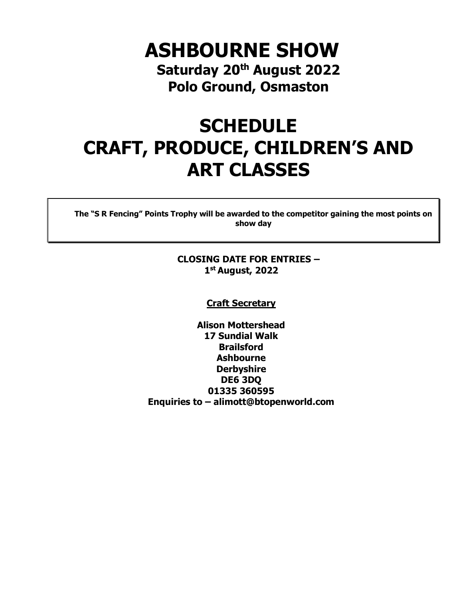# **ASHBOURNE SHOW Saturday 20th August 2022 Polo Ground, Osmaston**

# **SCHEDULE CRAFT, PRODUCE, CHILDREN'S AND ART CLASSES**

**The "S R Fencing" Points Trophy will be awarded to the competitor gaining the most points on show day**

### **CLOSING DATE FOR ENTRIES – 1 st August, 2022**

#### **Craft Secretary**

**Alison Mottershead 17 Sundial Walk Brailsford Ashbourne Derbyshire DE6 3DQ 01335 360595 Enquiries to – alimott@btopenworld.com**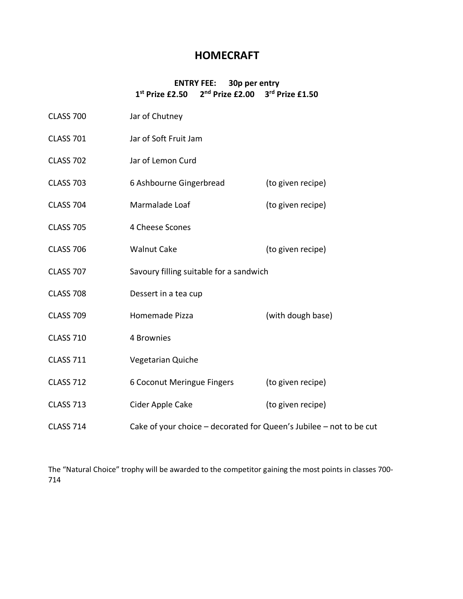# **HOMECRAFT**

#### **ENTRY FEE: 30p per entry 1 st Prize £2.50 2nd Prize £2.00 3rd Prize £1.50**

| <b>CLASS 700</b> | Jar of Chutney                                                      |                   |
|------------------|---------------------------------------------------------------------|-------------------|
| <b>CLASS 701</b> | Jar of Soft Fruit Jam                                               |                   |
| <b>CLASS 702</b> | Jar of Lemon Curd                                                   |                   |
| <b>CLASS 703</b> | 6 Ashbourne Gingerbread                                             | (to given recipe) |
| <b>CLASS 704</b> | Marmalade Loaf                                                      | (to given recipe) |
| <b>CLASS 705</b> | 4 Cheese Scones                                                     |                   |
| <b>CLASS 706</b> | <b>Walnut Cake</b>                                                  | (to given recipe) |
| <b>CLASS 707</b> | Savoury filling suitable for a sandwich                             |                   |
| <b>CLASS 708</b> | Dessert in a tea cup                                                |                   |
| <b>CLASS 709</b> | Homemade Pizza                                                      | (with dough base) |
| <b>CLASS 710</b> | 4 Brownies                                                          |                   |
| <b>CLASS 711</b> | Vegetarian Quiche                                                   |                   |
| <b>CLASS 712</b> | 6 Coconut Meringue Fingers                                          | (to given recipe) |
| <b>CLASS 713</b> | Cider Apple Cake                                                    | (to given recipe) |
| <b>CLASS 714</b> | Cake of your choice - decorated for Queen's Jubilee - not to be cut |                   |

The "Natural Choice" trophy will be awarded to the competitor gaining the most points in classes 700- 714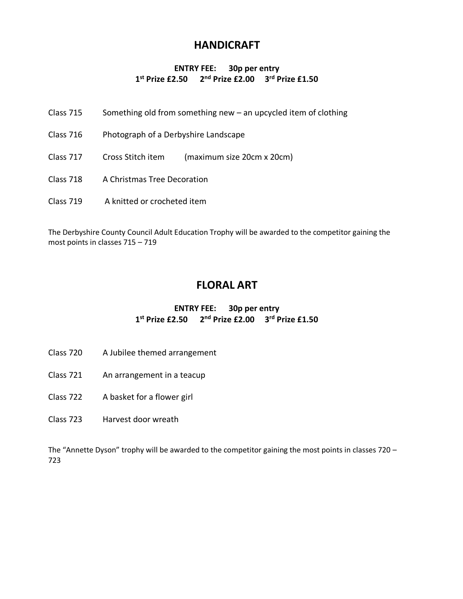# **HANDICRAFT**

#### **ENTRY FEE: 30p per entry 1 st Prize £2.50 2nd Prize £2.00 3rd Prize £1.50**

- Class 715 Something old from something new an upcycled item of clothing
- Class 716 Photograph of a Derbyshire Landscape
- Class 717 Cross Stitch item (maximum size 20cm x 20cm)
- Class 718 A Christmas Tree Decoration
- Class 719 A knitted or crocheted item

The Derbyshire County Council Adult Education Trophy will be awarded to the competitor gaining the most points in classes 715 – 719

# **FLORAL ART**

#### **ENTRY FEE: 30p per entry 1 st Prize £2.50 2nd Prize £2.00 3rd Prize £1.50**

- Class 720 A Jubilee themed arrangement
- Class 721 An arrangement in a teacup
- Class 722 A basket for a flower girl
- Class 723 Harvest door wreath

The "Annette Dyson" trophy will be awarded to the competitor gaining the most points in classes 720 – 723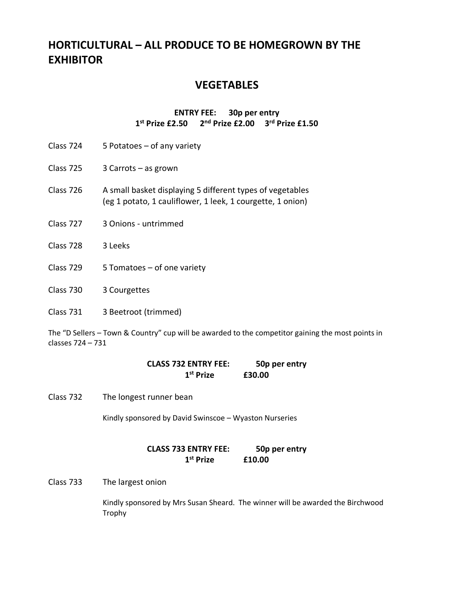# **HORTICULTURAL – ALL PRODUCE TO BE HOMEGROWN BY THE EXHIBITOR**

## **VEGETABLES**

#### **ENTRY FEE: 30p per entry 1 st Prize £2.50 2nd Prize £2.00 3rd Prize £1.50**

- Class 724 5 Potatoes of any variety
- Class 725 3 Carrots as grown
- Class 726 A small basket displaying 5 different types of vegetables (eg 1 potato, 1 cauliflower, 1 leek, 1 courgette, 1 onion)
- Class 727 3 Onions untrimmed
- Class 728 3 Leeks
- Class 729 5 Tomatoes of one variety
- Class 730 3 Courgettes
- Class 731 3 Beetroot (trimmed)

The "D Sellers – Town & Country" cup will be awarded to the competitor gaining the most points in classes 724 – 731

| <b>CLASS 732 ENTRY FEE:</b> | 50p per entry |
|-----------------------------|---------------|
| 1 <sup>st</sup> Prize       | £30.00        |

Class 732 The longest runner bean

Kindly sponsored by David Swinscoe – Wyaston Nurseries

**CLASS 733 ENTRY FEE: 50p per entry 1 st Prize £10.00**

Class 733 The largest onion

Kindly sponsored by Mrs Susan Sheard. The winner will be awarded the Birchwood Trophy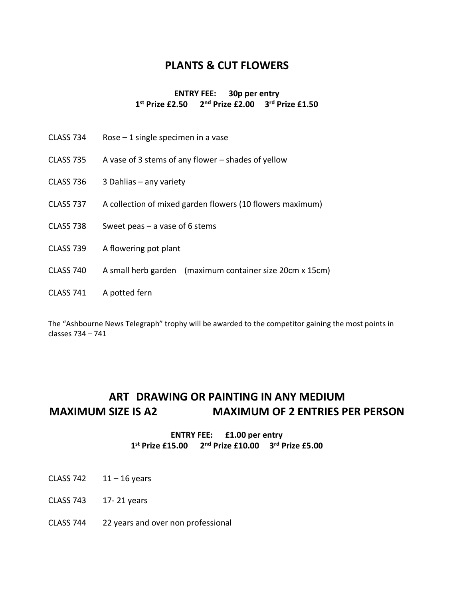# **PLANTS & CUT FLOWERS**

#### **ENTRY FEE: 30p per entry 1 st Prize £2.50 2nd Prize £2.00 3rd Prize £1.50**

- CLASS 734 Rose 1 single specimen in a vase
- CLASS 735 A vase of 3 stems of any flower shades of yellow
- CLASS 736 3 Dahlias any variety
- CLASS 737 A collection of mixed garden flowers (10 flowers maximum)
- CLASS 738 Sweet peas a vase of 6 stems
- CLASS 739 A flowering pot plant
- CLASS 740 A small herb garden (maximum container size 20cm x 15cm)
- CLASS 741 A potted fern

The "Ashbourne News Telegraph" trophy will be awarded to the competitor gaining the most points in classes 734 – 741

# **ART DRAWING OR PAINTING IN ANY MEDIUM MAXIMUM SIZE IS A2 MAXIMUM OF 2 ENTRIES PER PERSON**

#### **ENTRY FEE: £1.00 per entry 1 st Prize £15.00 2nd Prize £10.00 3rd Prize £5.00**

- CLASS 742  $11 16$  years
- CLASS 743 17- 21 years
- CLASS 744 22 years and over non professional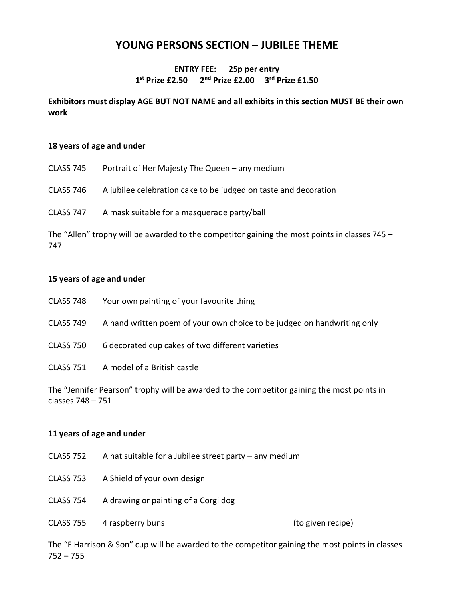# **YOUNG PERSONS SECTION – JUBILEE THEME**

#### **ENTRY FEE: 25p per entry 1 st Prize £2.50 2nd Prize £2.00 3rd Prize £1.50**

#### **Exhibitors must display AGE BUT NOT NAME and all exhibits in this section MUST BE their own work**

#### **18 years of age and under**

- CLASS 745 Portrait of Her Majesty The Queen any medium
- CLASS 746 A jubilee celebration cake to be judged on taste and decoration
- CLASS 747 A mask suitable for a masquerade party/ball

The "Allen" trophy will be awarded to the competitor gaining the most points in classes 745 – 747

#### **15 years of age and under**

| CLASS 748 | Your own painting of your favourite thing                               |
|-----------|-------------------------------------------------------------------------|
| CLASS 749 | A hand written poem of your own choice to be judged on handwriting only |
| CLASS 750 | 6 decorated cup cakes of two different varieties                        |
| CLASS 751 | A model of a British castle                                             |

The "Jennifer Pearson" trophy will be awarded to the competitor gaining the most points in classes 748 – 751

#### **11 years of age and under**

- CLASS 752 A hat suitable for a Jubilee street party any medium
- CLASS 753 A Shield of your own design
- CLASS 754 A drawing or painting of a Corgi dog
- CLASS 755 4 raspberry buns (to given recipe)

The "F Harrison & Son" cup will be awarded to the competitor gaining the most points in classes 752 – 755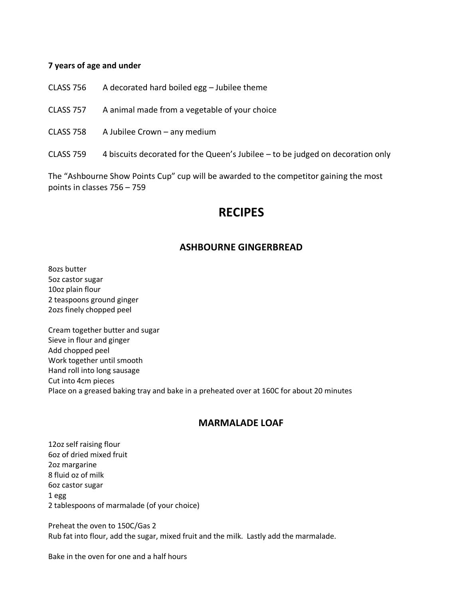#### **7 years of age and under**

- CLASS 756 A decorated hard boiled egg Jubilee theme
- CLASS 757 A animal made from a vegetable of your choice
- CLASS 758 A Jubilee Crown any medium
- CLASS 759 4 biscuits decorated for the Queen's Jubilee to be judged on decoration only

The "Ashbourne Show Points Cup" cup will be awarded to the competitor gaining the most points in classes 756 – 759

# **RECIPES**

#### **ASHBOURNE GINGERBREAD**

8ozs butter 5oz castor sugar 10oz plain flour 2 teaspoons ground ginger 2ozs finely chopped peel

Cream together butter and sugar Sieve in flour and ginger Add chopped peel Work together until smooth Hand roll into long sausage Cut into 4cm pieces Place on a greased baking tray and bake in a preheated over at 160C for about 20 minutes

#### **MARMALADE LOAF**

12oz self raising flour 6oz of dried mixed fruit 2oz margarine 8 fluid oz of milk 6oz castor sugar 1 egg 2 tablespoons of marmalade (of your choice)

Preheat the oven to 150C/Gas 2 Rub fat into flour, add the sugar, mixed fruit and the milk. Lastly add the marmalade.

Bake in the oven for one and a half hours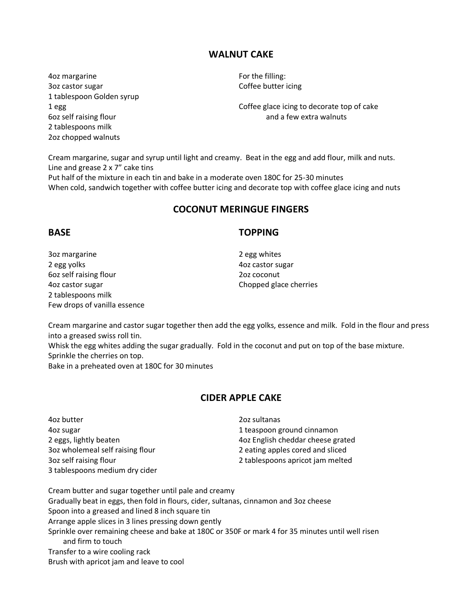### **WALNUT CAKE**

Aoz margarine **Accord For the filling:** 3oz castor sugar Coffee butter icing 1 tablespoon Golden syrup 2 tablespoons milk 2oz chopped walnuts

1 egg Coffee glace icing to decorate top of cake 6oz self raising flour and a few extra walnuts

Cream margarine, sugar and syrup until light and creamy. Beat in the egg and add flour, milk and nuts. Line and grease 2 x 7" cake tins

Put half of the mixture in each tin and bake in a moderate oven 180C for 25-30 minutes When cold, sandwich together with coffee butter icing and decorate top with coffee glace icing and nuts

#### **COCONUT MERINGUE FINGERS**

#### **BASE TOPPING**

3oz margarine 2 egg whites 2 egg yolks and the control of the 40z castor sugar 6oz self raising flour 2oz coconut 4oz castor sugar Chopped glace cherries 2 tablespoons milk Few drops of vanilla essence

Cream margarine and castor sugar together then add the egg yolks, essence and milk. Fold in the flour and press into a greased swiss roll tin.

Whisk the egg whites adding the sugar gradually. Fold in the coconut and put on top of the base mixture. Sprinkle the cherries on top.

Bake in a preheated oven at 180C for 30 minutes

#### **CIDER APPLE CAKE**

4oz butter 2oz sultanas 4oz sugar 1 teaspoon ground cinnamon 3oz wholemeal self raising flour 2 eating apples cored and sliced 3oz self raising flour 2 tablespoons apricot jam melted 3 tablespoons medium dry cider

2 eggs, lightly beaten 4oz English cheddar cheese grated

Cream butter and sugar together until pale and creamy Gradually beat in eggs, then fold in flours, cider, sultanas, cinnamon and 3oz cheese Spoon into a greased and lined 8 inch square tin Arrange apple slices in 3 lines pressing down gently Sprinkle over remaining cheese and bake at 180C or 350F or mark 4 for 35 minutes until well risen and firm to touch Transfer to a wire cooling rack Brush with apricot jam and leave to cool